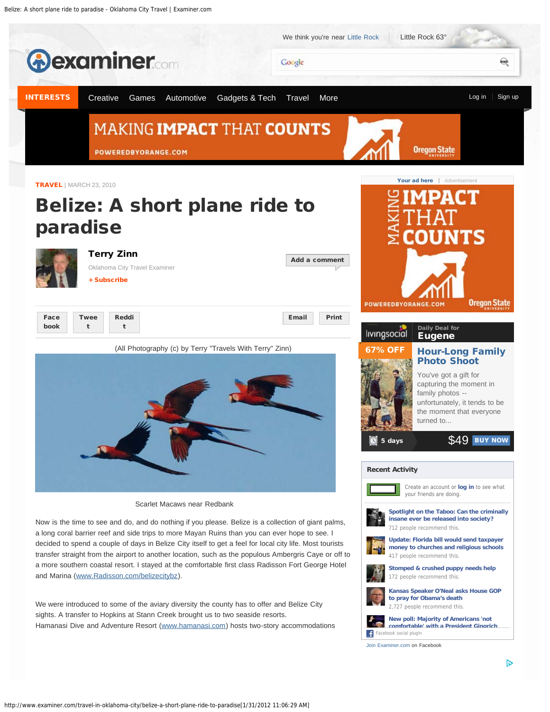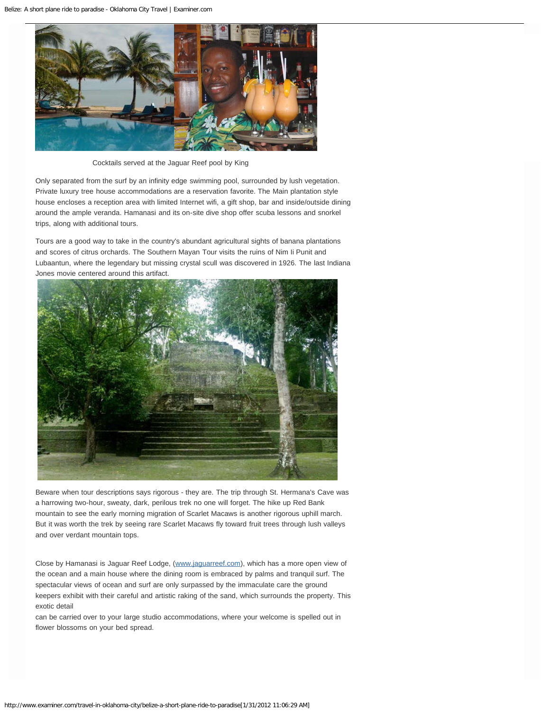

Cocktails served at the Jaguar Reef pool by King

Only separated from the surf by an infinity edge swimming pool, surrounded by lush vegetation. Private luxury tree house accommodations are a reservation favorite. The Main plantation style house encloses a reception area with limited Internet wifi, a gift shop, bar and inside/outside dining around the ample veranda. Hamanasi and its on-site dive shop offer scuba lessons and snorkel trips, along with additional tours.

Tours are a good way to take in the country's abundant agricultural sights of banana plantations and scores of citrus orchards. The Southern Mayan Tour visits the ruins of Nim Ii Punit and Lubaantun, where the legendary but missing crystal scull was discovered in 1926. The last Indiana Jones movie centered around this artifact.



Beware when tour descriptions says rigorous - they are. The trip through St. Hermana's Cave was a harrowing two-hour, sweaty, dark, perilous trek no one will forget. The hike up Red Bank mountain to see the early morning migration of Scarlet Macaws is another rigorous uphill march. But it was worth the trek by seeing rare Scarlet Macaws fly toward fruit trees through lush valleys and over verdant mountain tops.

Close by Hamanasi is Jaguar Reef Lodge, [\(www.jaguarreef.com\)](http://www.jaguarreef.com/), which has a more open view of the ocean and a main house where the dining room is embraced by palms and tranquil surf. The spectacular views of ocean and surf are only surpassed by the immaculate care the ground keepers exhibit with their careful and artistic raking of the sand, which surrounds the property. This exotic detail

can be carried over to your large studio accommodations, where your welcome is spelled out in flower blossoms on your bed spread.